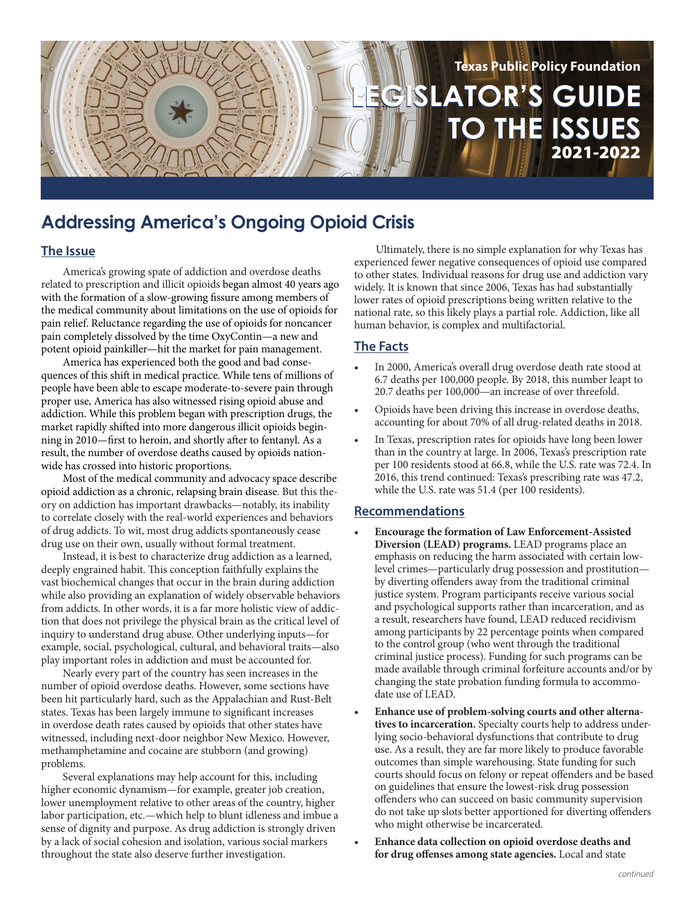

# **Addressing America's Ongoing Opioid Crisis**

## **The Issue**

America's growing spate of addiction and overdose deaths related to prescription and illicit opioids began almost 40 years ago with the formation of a slow-growing fissure among members of the medical community about limitations on the use of opioids for pain relief. Reluctance regarding the use of opioids for noncancer pain completely dissolved by the time OxyContin—a new and potent opioid painkiller—hit the market for pain management.

America has experienced both the good and bad consequences of this shift in medical practice. While tens of millions of people have been able to escape moderate-to-severe pain through proper use, America has also witnessed rising opioid abuse and addiction. While this problem began with prescription drugs, the market rapidly shifted into more dangerous illicit opioids beginning in 2010—first to heroin, and shortly after to fentanyl. As a result, the number of overdose deaths caused by opioids nationwide has crossed into historic proportions.

Most of the medical community and advocacy space describe opioid addiction as a chronic, relapsing brain disease. But this theory on addiction has important drawbacks—notably, its inability to correlate closely with the real-world experiences and behaviors of drug addicts. To wit, most drug addicts spontaneously cease drug use on their own, usually without formal treatment.

Instead, it is best to characterize drug addiction as a learned, deeply engrained habit. This conception faithfully explains the vast biochemical changes that occur in the brain during addiction while also providing an explanation of widely observable behaviors from addicts. In other words, it is a far more holistic view of addiction that does not privilege the physical brain as the critical level of inquiry to understand drug abuse. Other underlying inputs—for example, social, psychological, cultural, and behavioral traits—also play important roles in addiction and must be accounted for.

Nearly every part of the country has seen increases in the number of opioid overdose deaths. However, some sections have been hit particularly hard, such as the Appalachian and Rust-Belt states. Texas has been largely immune to significant increases in overdose death rates caused by opioids that other states have witnessed, including next-door neighbor New Mexico. However, methamphetamine and cocaine are stubborn (and growing) problems.

Several explanations may help account for this, including higher economic dynamism—for example, greater job creation, lower unemployment relative to other areas of the country, higher labor participation, etc.—which help to blunt idleness and imbue a sense of dignity and purpose. As drug addiction is strongly driven by a lack of social cohesion and isolation, various social markers throughout the state also deserve further investigation.

Ultimately, there is no simple explanation for why Texas has experienced fewer negative consequences of opioid use compared to other states. Individual reasons for drug use and addiction vary widely. It is known that since 2006, Texas has had substantially lower rates of opioid prescriptions being written relative to the national rate, so this likely plays a partial role. Addiction, like all human behavior, is complex and multifactorial.

## **The Facts**

- In 2000, America's overall drug overdose death rate stood at 6.7 deaths per 100,000 people. By 2018, this number leapt to 20.7 deaths per 100,000—an increase of over threefold.
- Opioids have been driving this increase in overdose deaths, accounting for about 70% of all drug-related deaths in 2018.
- In Texas, prescription rates for opioids have long been lower than in the country at large. In 2006, Texas's prescription rate per 100 residents stood at 66.8, while the U.S. rate was 72.4. In 2016, this trend continued: Texas's prescribing rate was 47.2, while the U.S. rate was 51.4 (per 100 residents).

## **Recommendations**

- **• Encourage the formation of Law Enforcement-Assisted Diversion (LEAD) programs.** LEAD programs place an emphasis on reducing the harm associated with certain lowlevel crimes—particularly drug possession and prostitution by diverting offenders away from the traditional criminal justice system. Program participants receive various social and psychological supports rather than incarceration, and as a result, researchers have found, LEAD reduced recidivism among participants by 22 percentage points when compared to the control group (who went through the traditional criminal justice process). Funding for such programs can be made available through criminal forfeiture accounts and/or by changing the state probation funding formula to accommodate use of LEAD.
- **• Enhance use of problem-solving courts and other alternatives to incarceration.** Specialty courts help to address underlying socio-behavioral dysfunctions that contribute to drug use. As a result, they are far more likely to produce favorable outcomes than simple warehousing. State funding for such courts should focus on felony or repeat offenders and be based on guidelines that ensure the lowest-risk drug possession offenders who can succeed on basic community supervision do not take up slots better apportioned for diverting offenders who might otherwise be incarcerated.
- **• Enhance data collection on opioid overdose deaths and for drug offenses among state agencies.** Local and state